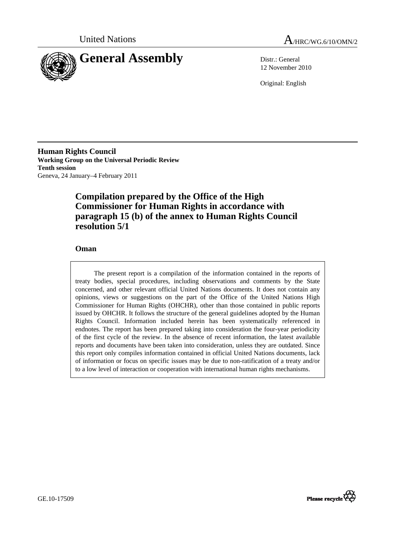



12 November 2010

Original: English

**Human Rights Council Working Group on the Universal Periodic Review Tenth session**  Geneva, 24 January–4 February 2011

# **Compilation prepared by the Office of the High Commissioner for Human Rights in accordance with paragraph 15 (b) of the annex to Human Rights Council resolution 5/1**

## **Oman**

The present report is a compilation of the information contained in the reports of treaty bodies, special procedures, including observations and comments by the State concerned, and other relevant official United Nations documents. It does not contain any opinions, views or suggestions on the part of the Office of the United Nations High Commissioner for Human Rights (OHCHR), other than those contained in public reports issued by OHCHR. It follows the structure of the general guidelines adopted by the Human Rights Council. Information included herein has been systematically referenced in endnotes. The report has been prepared taking into consideration the four-year periodicity of the first cycle of the review. In the absence of recent information, the latest available reports and documents have been taken into consideration, unless they are outdated. Since this report only compiles information contained in official United Nations documents, lack of information or focus on specific issues may be due to non-ratification of a treaty and/or to a low level of interaction or cooperation with international human rights mechanisms.

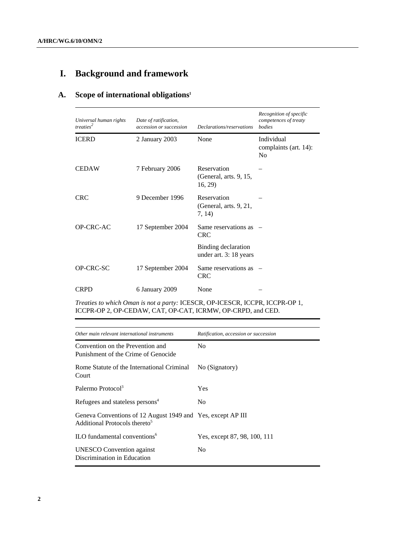# **I. Background and framework**

# **A. Scope of international obligations1**

| Universal human rights<br>treaties <sup>2</sup> | Date of ratification,<br>accession or succession | Declarations/reservations                       | Recognition of specific<br>competences of treaty<br>bodies |
|-------------------------------------------------|--------------------------------------------------|-------------------------------------------------|------------------------------------------------------------|
| <b>ICERD</b>                                    | 2 January 2003                                   | None                                            | Individual<br>complaints (art. 14):<br>N <sub>0</sub>      |
| <b>CEDAW</b>                                    | 7 February 2006                                  | Reservation<br>(General, arts. 9, 15,<br>16, 29 |                                                            |
| <b>CRC</b>                                      | 9 December 1996                                  | Reservation<br>(General, arts. 9, 21,<br>7, 14) |                                                            |
| OP-CRC-AC                                       | 17 September 2004                                | Same reservations as<br><b>CRC</b>              |                                                            |
|                                                 |                                                  | Binding declaration<br>under art. 3: 18 years   |                                                            |
| OP-CRC-SC                                       | 17 September 2004                                | Same reservations as<br><b>CRC</b>              |                                                            |
| CRPD                                            | 6 January 2009                                   | None                                            |                                                            |

*Treaties to which Oman is not a party:* ICESCR, OP-ICESCR, ICCPR, ICCPR-OP 1, ICCPR-OP 2, OP-CEDAW, CAT, OP-CAT, ICRMW, OP-CRPD, and CED.

| Other main relevant international instruments                                                            | Ratification, accession or succession |
|----------------------------------------------------------------------------------------------------------|---------------------------------------|
| Convention on the Prevention and<br>Punishment of the Crime of Genocide                                  | N <sub>0</sub>                        |
| Rome Statute of the International Criminal<br>Court                                                      | No (Signatory)                        |
| Palermo Protocol <sup>3</sup>                                                                            | Yes                                   |
| Refugees and stateless persons <sup>4</sup>                                                              | N <sub>0</sub>                        |
| Geneva Conventions of 12 August 1949 and Yes, except AP III<br>Additional Protocols thereto <sup>5</sup> |                                       |
| ILO fundamental conventions <sup>6</sup>                                                                 | Yes, except 87, 98, 100, 111          |
| <b>UNESCO</b> Convention against<br>Discrimination in Education                                          | N <sub>0</sub>                        |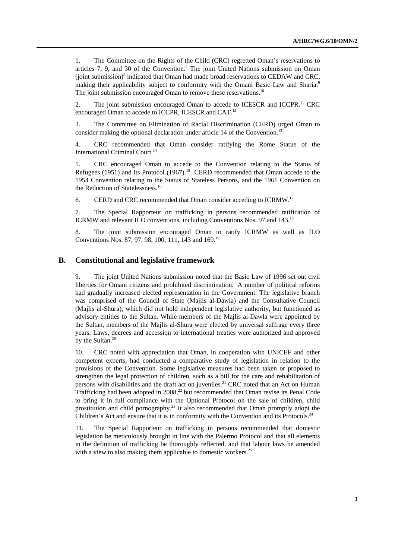1. The Committee on the Rights of the Child (CRC) regretted Oman's reservations to articles  $7, 9$ , and  $30$  of the Convention.<sup>7</sup> The joint United Nations submission on Oman (joint submission)<sup>8</sup> indicated that Oman had made broad reservations to CEDAW and CRC, making their applicability subject to conformity with the Omani Basic Law and Sharia.<sup>9</sup> The joint submission encouraged Oman to remove these reservations.<sup>10</sup>

2. The joint submission encouraged Oman to accede to ICESCR and ICCPR.<sup>11</sup> CRC encouraged Oman to accede to ICCPR, ICESCR and CAT.<sup>12</sup>

3. The Committee on Elimination of Racial Discrimination (CERD) urged Oman to consider making the optional declaration under article 14 of the Convention.<sup>13</sup>

4. CRC recommended that Oman consider ratifying the Rome Statue of the International Criminal Court.14

5. CRC encouraged Oman to accede to the Convention relating to the Status of Refugees (1951) and its Protocol (1967).<sup>15</sup> CERD recommended that Oman accede to the 1954 Convention relating to the Status of Stateless Persons, and the 1961 Convention on the Reduction of Statelessness.16

6. CERD and CRC recommended that Oman consider acceding to ICRMW.17

7. The Special Rapporteur on trafficking in persons recommended ratification of ICRMW and relevant ILO conventions, including Conventions Nos. 97 and 143.18

8. The joint submission encouraged Oman to ratify ICRMW as well as ILO Conventions Nos. 87, 97, 98, 100, 111, 143 and 169.19

## **B. Constitutional and legislative framework**

9. The joint United Nations submission noted that the Basic Law of 1996 set out civil liberties for Omani citizens and prohibited discrimination. A number of political reforms had gradually increased elected representation in the Government. The legislative branch was comprised of the Council of State (Majlis al-Dawla) and the Consultative Council (Majlis al-Shura), which did not hold independent legislative authority, but functioned as advisory entities to the Sultan. While members of the Majlis al-Dawla were appointed by the Sultan, members of the Majlis al-Shura were elected by universal suffrage every three years. Laws, decrees and accession to international treaties were authorized and approved by the Sultan.<sup>20</sup>

10. CRC noted with appreciation that Oman, in cooperation with UNICEF and other competent experts, had conducted a comparative study of legislation in relation to the provisions of the Convention. Some legislative measures had been taken or proposed to strengthen the legal protection of children, such as a bill for the care and rehabilitation of persons with disabilities and the draft act on juveniles.<sup>21</sup> CRC noted that an Act on Human Trafficking had been adopted in 2008,<sup>22</sup> but recommended that Oman revise its Penal Code to bring it in full compliance with the Optional Protocol on the sale of children, child prostitution and child pornography.23 It also recommended that Oman promptly adopt the Children's Act and ensure that it is in conformity with the Convention and its Protocols.<sup>24</sup>

The Special Rapporteur on trafficking in persons recommended that domestic legislation be meticulously brought in line with the Palermo Protocol and that all elements in the definition of trafficking be thoroughly reflected, and that labour laws be amended with a view to also making them applicable to domestic workers.<sup>25</sup>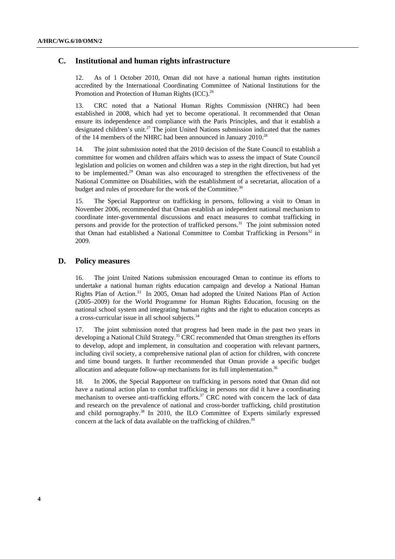## **C. Institutional and human rights infrastructure**

12. As of 1 October 2010, Oman did not have a national human rights institution accredited by the International Coordinating Committee of National Institutions for the Promotion and Protection of Human Rights (ICC).<sup>26</sup>

13. CRC noted that a National Human Rights Commission (NHRC) had been established in 2008, which had yet to become operational. It recommended that Oman ensure its independence and compliance with the Paris Principles, and that it establish a designated children's unit.<sup>27</sup> The joint United Nations submission indicated that the names of the 14 members of the NHRC had been announced in January 2010.<sup>28</sup>

14. The joint submission noted that the 2010 decision of the State Council to establish a committee for women and children affairs which was to assess the impact of State Council legislation and policies on women and children was a step in the right direction, but had yet to be implemented.29 Oman was also encouraged to strengthen the effectiveness of the National Committee on Disabilities, with the establishment of a secretariat, allocation of a budget and rules of procedure for the work of the Committee.<sup>30</sup>

15. The Special Rapporteur on trafficking in persons, following a visit to Oman in November 2006, recommended that Oman establish an independent national mechanism to coordinate inter-governmental discussions and enact measures to combat trafficking in persons and provide for the protection of trafficked persons.<sup>31</sup> The joint submission noted that Oman had established a National Committee to Combat Trafficking in Persons<sup>32</sup> in 2009.

## **D. Policy measures**

16. The joint United Nations submission encouraged Oman to continue its efforts to undertake a national human rights education campaign and develop a National Human Rights Plan of Action.<sup>33</sup> In 2005, Oman had adopted the United Nations Plan of Action (2005–2009) for the World Programme for Human Rights Education, focusing on the national school system and integrating human rights and the right to education concepts as a cross-curricular issue in all school subjects.<sup>34</sup>

17. The joint submission noted that progress had been made in the past two years in developing a National Child Strategy.<sup>35</sup> CRC recommended that Oman strengthen its efforts to develop, adopt and implement, in consultation and cooperation with relevant partners, including civil society, a comprehensive national plan of action for children, with concrete and time bound targets. It further recommended that Oman provide a specific budget allocation and adequate follow-up mechanisms for its full implementation.<sup>36</sup>

18. In 2006, the Special Rapporteur on trafficking in persons noted that Oman did not have a national action plan to combat trafficking in persons nor did it have a coordinating mechanism to oversee anti-trafficking efforts.<sup>37</sup> CRC noted with concern the lack of data and research on the prevalence of national and cross-border trafficking, child prostitution and child pornography.38 In 2010, the ILO Committee of Experts similarly expressed concern at the lack of data available on the trafficking of children. $39$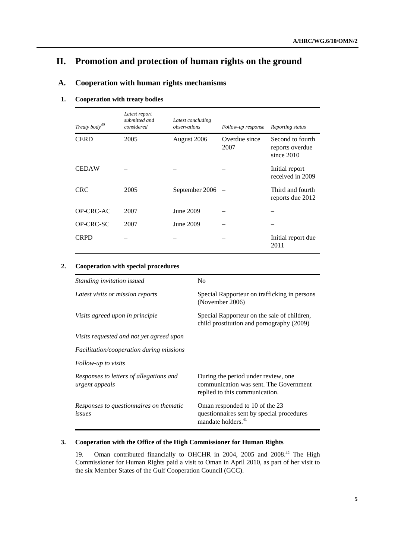# **II. Promotion and protection of human rights on the ground**

## **A. Cooperation with human rights mechanisms**

## **1. Cooperation with treaty bodies**

| Treaty body <sup>40</sup> | Latest report<br>submitted and<br>considered | Latest concluding<br>observations | Follow-up response    | Reporting status                                    |
|---------------------------|----------------------------------------------|-----------------------------------|-----------------------|-----------------------------------------------------|
| <b>CERD</b>               | 2005                                         | August 2006                       | Overdue since<br>2007 | Second to fourth<br>reports overdue<br>since $2010$ |
| <b>CEDAW</b>              |                                              |                                   |                       | Initial report<br>received in 2009                  |
| <b>CRC</b>                | 2005                                         | September 2006                    |                       | Third and fourth<br>reports due 2012                |
| OP-CRC-AC                 | 2007                                         | June 2009                         |                       |                                                     |
| <b>OP-CRC-SC</b>          | 2007                                         | June 2009                         |                       |                                                     |
| <b>CRPD</b>               |                                              |                                   |                       | Initial report due<br>2011                          |

## **2. Cooperation with special procedures**

| Standing invitation issued                                | N <sub>0</sub>                                                                                                  |  |  |  |
|-----------------------------------------------------------|-----------------------------------------------------------------------------------------------------------------|--|--|--|
| Latest visits or mission reports                          | Special Rapporteur on trafficking in persons<br>(November 2006)                                                 |  |  |  |
| Visits agreed upon in principle                           | Special Rapporteur on the sale of children,<br>child prostitution and pornography (2009)                        |  |  |  |
| Visits requested and not yet agreed upon                  |                                                                                                                 |  |  |  |
| <i>Facilitation/cooperation during missions</i>           |                                                                                                                 |  |  |  |
| Follow-up to visits                                       |                                                                                                                 |  |  |  |
| Responses to letters of allegations and<br>urgent appeals | During the period under review, one<br>communication was sent. The Government<br>replied to this communication. |  |  |  |
| Responses to questionnaires on thematic<br>issues         | Oman responded to 10 of the 23<br>questionnaires sent by special procedures<br>mandate holders. <sup>41</sup>   |  |  |  |

## **3. Cooperation with the Office of the High Commissioner for Human Rights**

19. Oman contributed financially to OHCHR in 2004, 2005 and 2008.<sup>42</sup> The High Commissioner for Human Rights paid a visit to Oman in April 2010, as part of her visit to the six Member States of the Gulf Cooperation Council (GCC).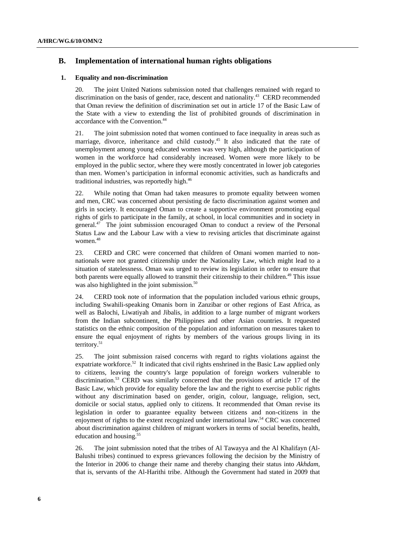## **B. Implementation of international human rights obligations**

#### **1. Equality and non-discrimination**

20. The joint United Nations submission noted that challenges remained with regard to discrimination on the basis of gender, race, descent and nationality.<sup>43</sup> CERD recommended that Oman review the definition of discrimination set out in article 17 of the Basic Law of the State with a view to extending the list of prohibited grounds of discrimination in accordance with the Convention.44

21. The joint submission noted that women continued to face inequality in areas such as marriage, divorce, inheritance and child custody.<sup>45</sup> It also indicated that the rate of unemployment among young educated women was very high, although the participation of women in the workforce had considerably increased. Women were more likely to be employed in the public sector, where they were mostly concentrated in lower job categories than men. Women's participation in informal economic activities, such as handicrafts and traditional industries, was reportedly high.<sup>46</sup>

22. While noting that Oman had taken measures to promote equality between women and men, CRC was concerned about persisting de facto discrimination against women and girls in society. It encouraged Oman to create a supportive environment promoting equal rights of girls to participate in the family, at school, in local communities and in society in general.47 The joint submission encouraged Oman to conduct a review of the Personal Status Law and the Labour Law with a view to revising articles that discriminate against women.<sup>48</sup>

23. CERD and CRC were concerned that children of Omani women married to nonnationals were not granted citizenship under the Nationality Law, which might lead to a situation of statelessness. Oman was urged to review its legislation in order to ensure that both parents were equally allowed to transmit their citizenship to their children.<sup>49</sup> This issue was also highlighted in the joint submission.<sup>50</sup>

24. CERD took note of information that the population included various ethnic groups, including Swahili-speaking Omanis born in Zanzibar or other regions of East Africa, as well as Balochi, Liwatiyah and Jibalis, in addition to a large number of migrant workers from the Indian subcontinent, the Philippines and other Asian countries. It requested statistics on the ethnic composition of the population and information on measures taken to ensure the equal enjoyment of rights by members of the various groups living in its territory.<sup>51</sup>

25. The joint submission raised concerns with regard to rights violations against the expatriate workforce.<sup>52</sup> It indicated that civil rights enshrined in the Basic Law applied only to citizens, leaving the country's large population of foreign workers vulnerable to discrimination.53 CERD was similarly concerned that the provisions of article 17 of the Basic Law, which provide for equality before the law and the right to exercise public rights without any discrimination based on gender, origin, colour, language, religion, sect, domicile or social status, applied only to citizens. It recommended that Oman revise its legislation in order to guarantee equality between citizens and non-citizens in the enjoyment of rights to the extent recognized under international law.54 CRC was concerned about discrimination against children of migrant workers in terms of social benefits, health, education and housing.<sup>5</sup>

26. The joint submission noted that the tribes of Al Tawayya and the Al Khalifayn (Al-Balushi tribes) continued to express grievances following the decision by the Ministry of the Interior in 2006 to change their name and thereby changing their status into *Akhdam,*  that is, servants of the Al-Harithi tribe. Although the Government had stated in 2009 that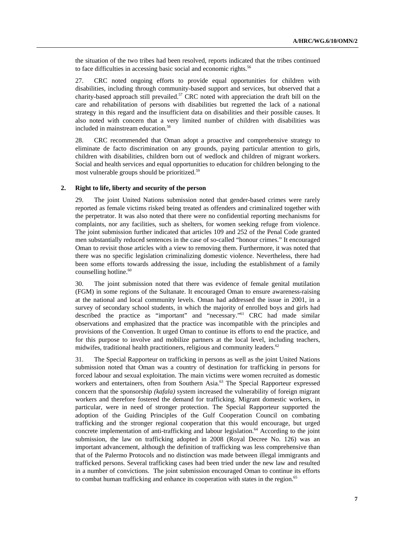the situation of the two tribes had been resolved, reports indicated that the tribes continued to face difficulties in accessing basic social and economic rights.<sup>56</sup>

27. CRC noted ongoing efforts to provide equal opportunities for children with disabilities, including through community-based support and services, but observed that a charity-based approach still prevailed.<sup>57</sup> CRC noted with appreciation the draft bill on the care and rehabilitation of persons with disabilities but regretted the lack of a national strategy in this regard and the insufficient data on disabilities and their possible causes. It also noted with concern that a very limited number of children with disabilities was included in mainstream education.<sup>58</sup>

28. CRC recommended that Oman adopt a proactive and comprehensive strategy to eliminate de facto discrimination on any grounds, paying particular attention to girls, children with disabilities, children born out of wedlock and children of migrant workers. Social and health services and equal opportunities to education for children belonging to the most vulnerable groups should be prioritized.59

#### **2. Right to life, liberty and security of the person**

29. The joint United Nations submission noted that gender-based crimes were rarely reported as female victims risked being treated as offenders and criminalized together with the perpetrator. It was also noted that there were no confidential reporting mechanisms for complaints, nor any facilities, such as shelters, for women seeking refuge from violence. The joint submission further indicated that articles 109 and 252 of the Penal Code granted men substantially reduced sentences in the case of so-called "honour crimes." It encouraged Oman to revisit those articles with a view to removing them. Furthermore, it was noted that there was no specific legislation criminalizing domestic violence. Nevertheless, there had been some efforts towards addressing the issue, including the establishment of a family counselling hotline.<sup>60</sup>

30. The joint submission noted that there was evidence of female genital mutilation (FGM) in some regions of the Sultanate. It encouraged Oman to ensure awareness-raising at the national and local community levels. Oman had addressed the issue in 2001, in a survey of secondary school students, in which the majority of enrolled boys and girls had described the practice as "important" and "necessary."61 CRC had made similar observations and emphasized that the practice was incompatible with the principles and provisions of the Convention. It urged Oman to continue its efforts to end the practice, and for this purpose to involve and mobilize partners at the local level, including teachers, midwifes, traditional health practitioners, religious and community leaders.<sup>62</sup>

31. The Special Rapporteur on trafficking in persons as well as the joint United Nations submission noted that Oman was a country of destination for trafficking in persons for forced labour and sexual exploitation. The main victims were women recruited as domestic workers and entertainers, often from Southern Asia.<sup>63</sup> The Special Rapporteur expressed concern that the sponsorship *(kafala)* system increased the vulnerability of foreign migrant workers and therefore fostered the demand for trafficking. Migrant domestic workers, in particular, were in need of stronger protection. The Special Rapporteur supported the adoption of the Guiding Principles of the Gulf Cooperation Council on combating trafficking and the stronger regional cooperation that this would encourage, but urged concrete implementation of anti-trafficking and labour legislation.<sup>64</sup> According to the joint submission, the law on trafficking adopted in 2008 (Royal Decree No. 126) was an important advancement, although the definition of trafficking was less comprehensive than that of the Palermo Protocols and no distinction was made between illegal immigrants and trafficked persons. Several trafficking cases had been tried under the new law and resulted in a number of convictions. The joint submission encouraged Oman to continue its efforts to combat human trafficking and enhance its cooperation with states in the region.<sup>65</sup>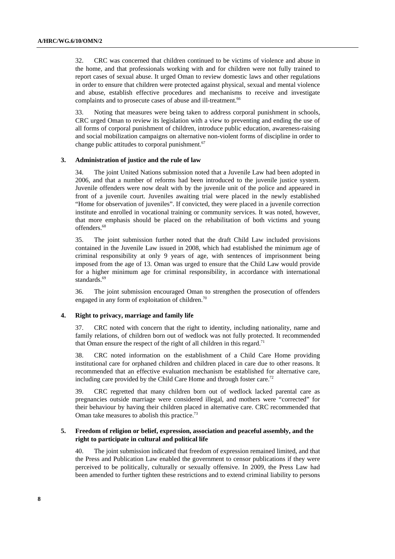32. CRC was concerned that children continued to be victims of violence and abuse in the home, and that professionals working with and for children were not fully trained to report cases of sexual abuse. It urged Oman to review domestic laws and other regulations in order to ensure that children were protected against physical, sexual and mental violence and abuse, establish effective procedures and mechanisms to receive and investigate complaints and to prosecute cases of abuse and ill-treatment.<sup>66</sup>

33. Noting that measures were being taken to address corporal punishment in schools, CRC urged Oman to review its legislation with a view to preventing and ending the use of all forms of corporal punishment of children, introduce public education, awareness-raising and social mobilization campaigns on alternative non-violent forms of discipline in order to change public attitudes to corporal punishment.<sup>67</sup>

#### **3. Administration of justice and the rule of law**

34. The joint United Nations submission noted that a Juvenile Law had been adopted in 2006, and that a number of reforms had been introduced to the juvenile justice system. Juvenile offenders were now dealt with by the juvenile unit of the police and appeared in front of a juvenile court. Juveniles awaiting trial were placed in the newly established "Home for observation of juveniles". If convicted, they were placed in a juvenile correction institute and enrolled in vocational training or community services. It was noted, however, that more emphasis should be placed on the rehabilitation of both victims and young offenders.<sup>68</sup>

35. The joint submission further noted that the draft Child Law included provisions contained in the Juvenile Law issued in 2008, which had established the minimum age of criminal responsibility at only 9 years of age, with sentences of imprisonment being imposed from the age of 13. Oman was urged to ensure that the Child Law would provide for a higher minimum age for criminal responsibility, in accordance with international standards.<sup>69</sup>

36. The joint submission encouraged Oman to strengthen the prosecution of offenders engaged in any form of exploitation of children.<sup>70</sup>

#### **4. Right to privacy, marriage and family life**

37. CRC noted with concern that the right to identity, including nationality, name and family relations, of children born out of wedlock was not fully protected. It recommended that Oman ensure the respect of the right of all children in this regard.<sup>71</sup>

38. CRC noted information on the establishment of a Child Care Home providing institutional care for orphaned children and children placed in care due to other reasons. It recommended that an effective evaluation mechanism be established for alternative care, including care provided by the Child Care Home and through foster care.<sup>72</sup>

39. CRC regretted that many children born out of wedlock lacked parental care as pregnancies outside marriage were considered illegal, and mothers were "corrected" for their behaviour by having their children placed in alternative care. CRC recommended that Oman take measures to abolish this practice.<sup>73</sup>

#### **5. Freedom of religion or belief, expression, association and peaceful assembly, and the right to participate in cultural and political life**

40. The joint submission indicated that freedom of expression remained limited, and that the Press and Publication Law enabled the government to censor publications if they were perceived to be politically, culturally or sexually offensive. In 2009, the Press Law had been amended to further tighten these restrictions and to extend criminal liability to persons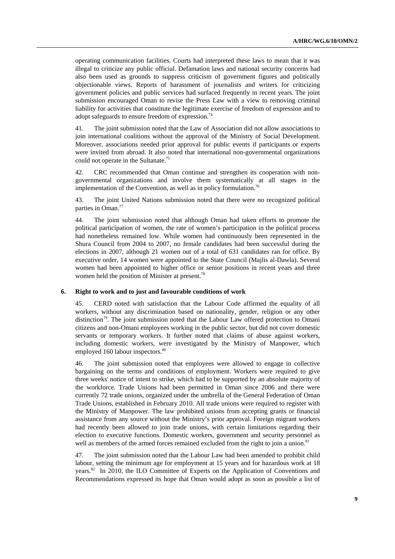operating communication facilities. Courts had interpreted these laws to mean that it was illegal to criticize any public official. Defamation laws and national security concerns had also been used as grounds to suppress criticism of government figures and politically objectionable views. Reports of harassment of journalists and writers for criticizing government policies and public services had surfaced frequently in recent years. The joint submission encouraged Oman to revise the Press Law with a view to removing criminal liability for activities that constitute the legitimate exercise of freedom of expression and to adopt safeguards to ensure freedom of expression.<sup>74</sup>

41. The joint submission noted that the Law of Association did not allow associations to join international coalitions without the approval of the Ministry of Social Development. Moreover, associations needed prior approval for public events if participants or experts were invited from abroad. It also noted that international non-governmental organizations could not operate in the Sultanate.75

42. CRC recommended that Oman continue and strengthen its cooperation with nongovernmental organizations and involve them systematically at all stages in the implementation of the Convention, as well as in policy formulation.<sup>76</sup>

43. The joint United Nations submission noted that there were no recognized political parties in Oman.<sup>77</sup>

44. The joint submission noted that although Oman had taken efforts to promote the political participation of women, the rate of women's participation in the political process had nonetheless remained low. While women had continuously been represented in the Shura Council from 2004 to 2007, no female candidates had been successful during the elections in 2007, although 21 women out of a total of 631 candidates ran for office. By executive order, 14 women were appointed to the State Council (Majlis al-Dawla). Several women had been appointed to higher office or senior positions in recent years and three women held the position of Minister at present.<sup>78</sup>

#### **6. Right to work and to just and favourable conditions of work**

45. CERD noted with satisfaction that the Labour Code affirmed the equality of all workers, without any discrimination based on nationality, gender, religion or any other distinction<sup>79</sup>. The joint submission noted that the Labour Law offered protection to Omani citizens and non-Omani employees working in the public sector, but did not cover domestic servants or temporary workers. It further noted that claims of abuse against workers, including domestic workers, were investigated by the Ministry of Manpower, which employed 160 labour inspectors.<sup>80</sup>

46. The joint submission noted that employees were allowed to engage in collective bargaining on the terms and conditions of employment. Workers were required to give three weeks' notice of intent to strike, which had to be supported by an absolute majority of the workforce. Trade Unions had been permitted in Oman since 2006 and there were currently 72 trade unions, organized under the umbrella of the General Federation of Oman Trade Unions, established in February 2010. All trade unions were required to register with the Ministry of Manpower. The law prohibited unions from accepting grants or financial assistance from any source without the Ministry's prior approval. Foreign migrant workers had recently been allowed to join trade unions, with certain limitations regarding their election to executive functions. Domestic workers, government and security personnel as well as members of the armed forces remained excluded from the right to join a union.<sup>81</sup>

47. The joint submission noted that the Labour Law had been amended to prohibit child labour, setting the minimum age for employment at 15 years and for hazardous work at 18 years.<sup>82</sup> In 2010, the ILO Committee of Experts on the Application of Conventions and Recommendations expressed its hope that Oman would adopt as soon as possible a list of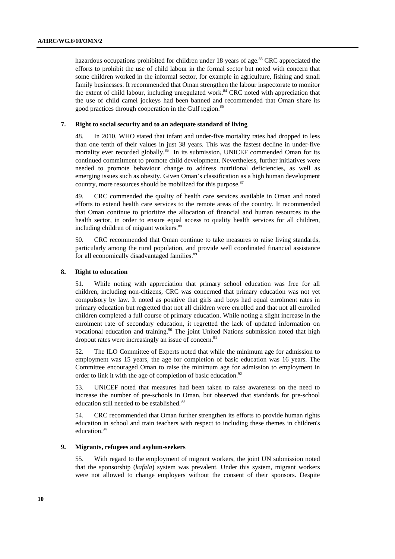hazardous occupations prohibited for children under  $18$  years of age.<sup>83</sup> CRC appreciated the efforts to prohibit the use of child labour in the formal sector but noted with concern that some children worked in the informal sector, for example in agriculture, fishing and small family businesses. It recommended that Oman strengthen the labour inspectorate to monitor the extent of child labour, including unregulated work.<sup>84</sup> CRC noted with appreciation that the use of child camel jockeys had been banned and recommended that Oman share its good practices through cooperation in the Gulf region.<sup>85</sup>

#### **7. Right to social security and to an adequate standard of living**

48. In 2010, WHO stated that infant and under-five mortality rates had dropped to less than one tenth of their values in just 38 years. This was the fastest decline in under-five mortality ever recorded globally.<sup>86</sup> In its submission, UNICEF commended Oman for its continued commitment to promote child development. Nevertheless, further initiatives were needed to promote behaviour change to address nutritional deficiencies, as well as emerging issues such as obesity. Given Oman's classification as a high human development country, more resources should be mobilized for this purpose.<sup>87</sup>

49. CRC commended the quality of health care services available in Oman and noted efforts to extend health care services to the remote areas of the country. It recommended that Oman continue to prioritize the allocation of financial and human resources to the health sector, in order to ensure equal access to quality health services for all children, including children of migrant workers.<sup>88</sup>

50. CRC recommended that Oman continue to take measures to raise living standards, particularly among the rural population, and provide well coordinated financial assistance for all economically disadvantaged families.<sup>89</sup>

#### **8. Right to education**

51. While noting with appreciation that primary school education was free for all children, including non-citizens, CRC was concerned that primary education was not yet compulsory by law. It noted as positive that girls and boys had equal enrolment rates in primary education but regretted that not all children were enrolled and that not all enrolled children completed a full course of primary education. While noting a slight increase in the enrolment rate of secondary education, it regretted the lack of updated information on vocational education and training.<sup>90</sup> The joint United Nations submission noted that high dropout rates were increasingly an issue of concern.<sup>91</sup>

52. The ILO Committee of Experts noted that while the minimum age for admission to employment was 15 years, the age for completion of basic education was 16 years. The Committee encouraged Oman to raise the minimum age for admission to employment in order to link it with the age of completion of basic education.<sup>92</sup>

53. UNICEF noted that measures had been taken to raise awareness on the need to increase the number of pre-schools in Oman, but observed that standards for pre-school education still needed to be established.<sup>93</sup>

54. CRC recommended that Oman further strengthen its efforts to provide human rights education in school and train teachers with respect to including these themes in children's education.<sup>94</sup>

#### **9. Migrants, refugees and asylum-seekers**

55. With regard to the employment of migrant workers, the joint UN submission noted that the sponsorship (*kafala*) system was prevalent. Under this system, migrant workers were not allowed to change employers without the consent of their sponsors. Despite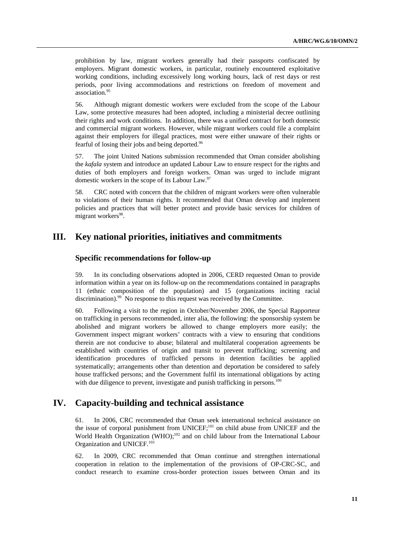prohibition by law, migrant workers generally had their passports confiscated by employers. Migrant domestic workers, in particular, routinely encountered exploitative working conditions, including excessively long working hours, lack of rest days or rest periods, poor living accommodations and restrictions on freedom of movement and association.95

56. Although migrant domestic workers were excluded from the scope of the Labour Law, some protective measures had been adopted, including a ministerial decree outlining their rights and work conditions. In addition, there was a unified contract for both domestic and commercial migrant workers. However, while migrant workers could file a complaint against their employers for illegal practices, most were either unaware of their rights or fearful of losing their jobs and being deported.<sup>96</sup>

57. The joint United Nations submission recommended that Oman consider abolishing the *kafala* system and introduce an updated Labour Law to ensure respect for the rights and duties of both employers and foreign workers. Oman was urged to include migrant domestic workers in the scope of its Labour Law.<sup>97</sup>

58. CRC noted with concern that the children of migrant workers were often vulnerable to violations of their human rights. It recommended that Oman develop and implement policies and practices that will better protect and provide basic services for children of migrant workers<sup>98</sup>.

# **III. Key national priorities, initiatives and commitments**

### **Specific recommendations for follow-up**

59. In its concluding observations adopted in 2006, CERD requested Oman to provide information within a year on its follow-up on the recommendations contained in paragraphs 11 (ethnic composition of the population) and 15 (organizations inciting racial discrimination).<sup>99</sup> No response to this request was received by the Committee.

60. Following a visit to the region in October/November 2006, the Special Rapporteur on trafficking in persons recommended, inter alia, the following: the sponsorship system be abolished and migrant workers be allowed to change employers more easily; the Government inspect migrant workers' contracts with a view to ensuring that conditions therein are not conducive to abuse; bilateral and multilateral cooperation agreements be established with countries of origin and transit to prevent trafficking; screening and identification procedures of trafficked persons in detention facilities be applied systematically; arrangements other than detention and deportation be considered to safely house trafficked persons; and the Government fulfil its international obligations by acting with due diligence to prevent, investigate and punish trafficking in persons.<sup>100</sup>

# **IV. Capacity-building and technical assistance**

61. In 2006, CRC recommended that Oman seek international technical assistance on the issue of corporal punishment from UNICEF;101 on child abuse from UNICEF and the World Health Organization (WHO);<sup>102</sup> and on child labour from the International Labour Organization and UNICEF.<sup>103</sup>

62. In 2009, CRC recommended that Oman continue and strengthen international cooperation in relation to the implementation of the provisions of OP-CRC-SC, and conduct research to examine cross-border protection issues between Oman and its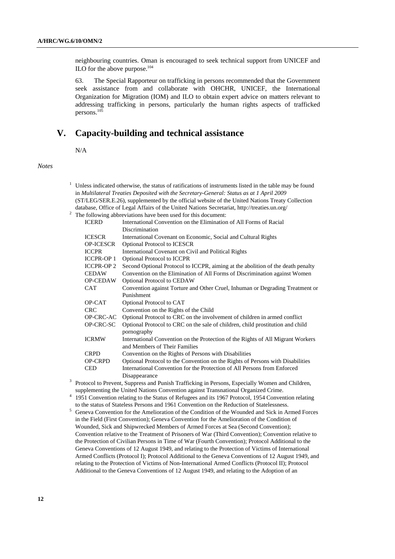neighbouring countries. Oman is encouraged to seek technical support from UNICEF and ILO for the above purpose. $104$ 

63. The Special Rapporteur on trafficking in persons recommended that the Government seek assistance from and collaborate with OHCHR, UNICEF, the International Organization for Migration (IOM) and ILO to obtain expert advice on matters relevant to addressing trafficking in persons, particularly the human rights aspects of trafficked persons.105

## **V. Capacity-building and technical assistance**

N/A

*Notes* 

- $1$  Unless indicated otherwise, the status of ratifications of instruments listed in the table may be found in *Multilateral Treaties Deposited with the Secretary-General: Status as at 1 April 2009* (ST/LEG/SER.E.26), supplemented by the official website of the United Nations Treaty Collection database, Office of Legal Affairs of the United Nations Secretariat, http://treaties.un.org/ 2  $2\degree$  The following abbreviations have been used for this document: ICERD International Convention on the Elimination of All Forms of Racial Discrimination ICESCR International Covenant on Economic, Social and Cultural Rights OP-ICESCR Optional Protocol to ICESCR
	- ICCPR International Covenant on Civil and Political Rights
	- ICCPR-OP 1 Optional Protocol to ICCPR
	- ICCPR-OP 2 Second Optional Protocol to ICCPR, aiming at the abolition of the death penalty CEDAW Convention on the Elimination of All Forms of Discrimination against Women OP-CEDAW Optional Protocol to CEDAW CAT Convention against Torture and Other Cruel, Inhuman or Degrading Treatment or Punishment
	- OP-CAT Optional Protocol to CAT CRC Convention on the Rights of the Child OP-CRC-AC Optional Protocol to CRC on the involvement of children in armed conflict OP-CRC-SC Optional Protocol to CRC on the sale of children, child prostitution and child pornography ICRMW International Convention on the Protection of the Rights of All Migrant Workers and Members of Their Families
	- CRPD Convention on the Rights of Persons with Disabilities

| OP-CRPD | Optional Protocol to the Convention on the Rights of Persons with Disabilities                               |
|---------|--------------------------------------------------------------------------------------------------------------|
| CED.    | International Convention for the Protection of All Persons from Enforced                                     |
|         | Disappearance                                                                                                |
|         | <sup>3</sup> Protocol to Prevent, Suppress and Punish Trafficking in Persons, Especially Women and Children, |

- supplementing the United Nations Convention against Transnational Organized Crime.<br>4 1051 Convention relating to the Status of Pofugees and its 1067 Protocol, 1054 Conver
- 1951 Convention relating to the Status of Refugees and its 1967 Protocol, 1954 Convention relating to the status of Stateless Persons and 1961 Convention on the Reduction of Statelessness.<br>
<sup>5</sup> Geneva Convention for the Amelioration of the Condition of the Wounded and Sick in A
- Geneva Convention for the Amelioration of the Condition of the Wounded and Sick in Armed Forces in the Field (First Convention); Geneva Convention for the Amelioration of the Condition of Wounded, Sick and Shipwrecked Members of Armed Forces at Sea (Second Convention); Convention relative to the Treatment of Prisoners of War (Third Convention); Convention relative to the Protection of Civilian Persons in Time of War (Fourth Convention); Protocol Additional to the Geneva Conventions of 12 August 1949, and relating to the Protection of Victims of International Armed Conflicts (Protocol I); Protocol Additional to the Geneva Conventions of 12 August 1949, and relating to the Protection of Victims of Non-International Armed Conflicts (Protocol II); Protocol Additional to the Geneva Conventions of 12 August 1949, and relating to the Adoption of an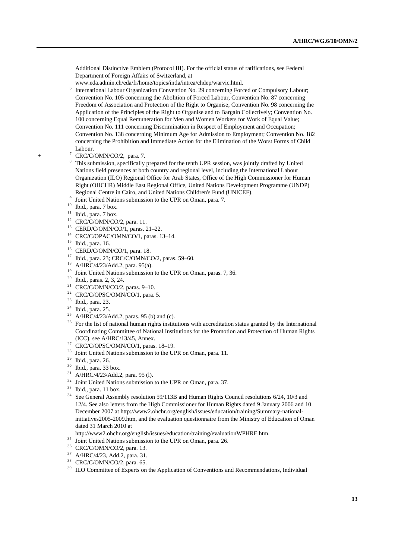Additional Distinctive Emblem (Protocol III). For the official status of ratifications, see Federal Department of Foreign Affairs of Switzerland, at

- www.eda.admin.ch/eda/fr/home/topics/intla/intrea/chdep/warvic.html. 6
- <sup>6</sup> International Labour Organization Convention No. 29 concerning Forced or Compulsory Labour; Convention No. 105 concerning the Abolition of Forced Labour, Convention No. 87 concerning Freedom of Association and Protection of the Right to Organise; Convention No. 98 concerning the Application of the Principles of the Right to Organise and to Bargain Collectively; Convention No. 100 concerning Equal Remuneration for Men and Women Workers for Work of Equal Value; Convention No. 111 concerning Discrimination in Respect of Employment and Occupation; Convention No. 138 concerning Minimum Age for Admission to Employment; Convention No. 182 concerning the Prohibition and Immediate Action for the Elimination of the Worst Forms of Child Labour.
- + <sup>7</sup> <sup>7</sup> CRC/C/OMN/CO/2, para. 7.
	- <sup>8</sup> This submission, specifically prepared for the tenth UPR session, was jointly drafted by United Nations field presences at both country and regional level, including the International Labour Organization (ILO) Regional Office for Arab States, Office of the High Commissioner for Human Right (OHCHR) Middle East Regional Office, United Nations Development Programme (UNDP) Regional Centre in Cairo, and United Nations Children's Fund (UNICEF).
	- $\frac{9}{10}$  Joint United Nations submission to the UPR on Oman, para. 7. 10 Ibid., para. 7 box.
	-
	- $11$  Ibid., para. 7 box.
	- <sup>12</sup> CRC/C/OMN/CO/2, para. 11.
	- 13 CERD/C/OMN/CO/1, paras. 21–22.
	- 14 CRC/C/OPAC/OMN/CO/1, paras. 13–14.
	- 15 Ibid., para. 16.
	- $^{16}$  CERD/C/OMN/CO/1, para. 18.
	- <sup>17</sup> Ibid., para. 23; CRC/C/OMN/CO/2, paras. 59–60.<br><sup>18</sup> A/HBC/4/23/Add 2, para. 95(a)
	- A/HRC/4/23/Add.2, para. 95(a).
	- <sup>19</sup> Joint United Nations submission to the UPR on Oman, paras. 7, 36.<br><sup>20</sup> Ibid., paras. 2, 3, 24.
	-
	- <sup>21</sup> CRC/C/OMN/CO/2, paras. 9-10.
	- <sup>22</sup> CRC/C/OPSC/OMN/CO/1, para. 5.
	- 23 Ibid., para. 23.
	- $24$  Ibid., para. 25.
	- <sup>25</sup> A/HRC/4/23/Add.2, paras. 95 (b) and (c).
	- <sup>26</sup> For the list of national human rights institutions with accreditation status granted by the International Coordinating Committee of National Institutions for the Promotion and Protection of Human Rights (ICC), see A/HRC/13/45, Annex.<br><sup>27</sup> CRC/C/OPSC/OMN/CO/1, paras. 18–19.
	-
	- <sup>28</sup> Joint United Nations submission to the UPR on Oman, para. 11.<br><sup>29</sup> Ibid., para. 26.
	-
	- 30 Ibid., para. 33 box.
	- $31$  A/HRC/4/23/Add.2, para. 95 (l).
	- $32$  Joint United Nations submission to the UPR on Oman, para. 37. Ibid., para. 11 box.
	-
	- <sup>34</sup> See General Assembly resolution 59/113B and Human Rights Council resolutions 6/24, 10/3 and 12/4. See also letters from the High Commissioner for Human Rights dated 9 January 2006 and 10 December 2007 at http://www2.ohchr.org/english/issues/education/training/Summary-nationalinitiatives2005-2009.htm, and the evaluation questionnaire from the Ministry of Education of Oman dated 31 March 2010 at
	- http://www2.ohchr.org/english/issues/education/training/evaluationWPHRE.htm.<br>
	<sup>35</sup> Joint United Nations submission to the UPR on Oman, para. 26.<br>
	<sup>36</sup> CRC/C/OMN/CO/2, para. 13.<br>
	<sup>37</sup> AUDC/4/22, AJJ2
	-
	-
	- A/HRC/4/23, Add.2, para. 31.
	- 38 CRC/C/OMN/CO/2, para. 65.
	- <sup>39</sup> ILO Committee of Experts on the Application of Conventions and Recommendations, Individual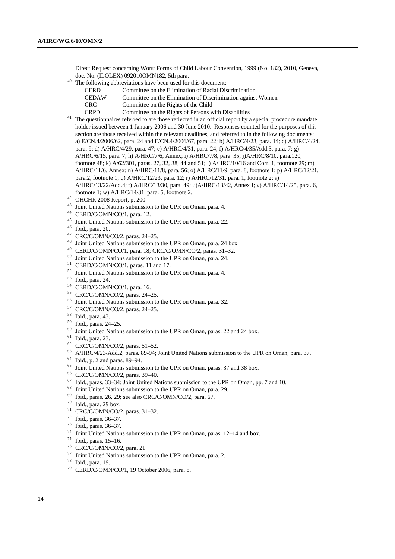Direct Request concerning Worst Forms of Child Labour Convention, 1999 (No. 182), 2010, Geneva, doc. No. (ILOLEX) 092010OMN182, 5th para.<br>The following abbreviations have been used for this document:

- - CERD Committee on the Elimination of Racial Discrimination
		- CEDAW Committee on the Elimination of Discrimination against Women
	- CRC Committee on the Rights of the Child
	-

CRPD Committee on the Rights of Persons with Disabilities 41 The questionnaires referred to are those reflected in an official report by a special procedure mandate holder issued between 1 January 2006 and 30 June 2010. Responses counted for the purposes of this section are those received within the relevant deadlines, and referred to in the following documents: a) E/CN.4/2006/62, para. 24 and E/CN.4/2006/67, para. 22; b) A/HRC/4/23, para. 14; c) A/HRC/4/24, para. 9; d) A/HRC/4/29, para. 47; e) A/HRC/4/31, para. 24; f) A/HRC/4/35/Add.3, para. 7; g) A/HRC/6/15, para. 7; h) A/HRC/7/6, Annex; i) A/HRC/7/8, para. 35; j)A/HRC/8/10, para.120, footnote 48; k) A/62/301, paras. 27, 32, 38, 44 and 51; l) A/HRC/10/16 and Corr. 1, footnote 29; m) A/HRC/11/6, Annex; n) A/HRC/11/8, para. 56; o) A/HRC/11/9, para. 8, footnote 1; p) A/HRC/12/21, para.2, footnote 1; q) A/HRC/12/23, para. 12; r) A/HRC/12/31, para. 1, footnote 2; s) A/HRC/13/22/Add.4; t) A/HRC/13/30, para. 49; u)A/HRC/13/42, Annex I; v) A/HRC/14/25, para. 6, footnote 1; w) A/HRC/14/31, para. 5, footnote 2. 42 OHCHR 2008 Report, p. 200.

- 
- <sup>43</sup> Joint United Nations submission to the UPR on Oman, para. 4.<br><sup>44</sup> CERD/C/OMN/CO/1, para. 12.
- 
- 45 Joint United Nations submission to the UPR on Oman, para. 22. 46 Ibid., para. 20.
- 
- 
- <sup>47</sup> CRC/C/OMN/CO/2, paras. 24–25.<br><sup>48</sup> Joint United Nations submission to the UPR on Oman, para. 24 box.
- <sup>49</sup> CERD/C/OMN/CO/1, para. 18; CRC/C/OMN/CO/2, paras. 31–32.<br><sup>50</sup> Joint United Nations submission to the UPR on Oman, para. 24.<br><sup>51</sup> CERD/C/OMN/CO/1, paras. 11 and 17.
- 
- 
- $52$  Joint United Nations submission to the UPR on Oman, para. 4. Ibid., para. 24.
- 
- <sup>54</sup> CERD/C/OMN/CO/1, para. 16.
- 55 CRC/C/OMN/CO/2, paras. 24–25.
- <sup>56</sup> Joint United Nations submission to the UPR on Oman, para. 32.<br><sup>57</sup> CRC/C/OMN/CO/2, paras. 24–25.
- 
- 58 Ibid., para. 43.
- 59 Ibid., paras. 24–25.
- $\frac{60}{61}$  Joint United Nations submission to the UPR on Oman, paras. 22 and 24 box. Thid., para. 23.
- 
- 62 CRC/C/OMN/CO/2, paras. 51–52.
- $^{63}$  A/HRC/4/23/Add.2, paras. 89-94; Joint United Nations submission to the UPR on Oman, para. 37. Ibid., p. 2 and paras. 89–94.
- 
- <sup>65</sup> Joint United Nations submission to the UPR on Oman, paras. 37 and 38 box.<br><sup>66</sup> CRC/C/OMN/CO/2, paras. 39–40.
- 
- <sup>67</sup> Ibid., paras. 33–34; Joint United Nations submission to the UPR on Oman, pp. 7 and 10.<br><sup>68</sup> Joint United Nations submission to the UPR on Oman, para. 29.<br><sup>69</sup> Ibid., paras. 26, 29; see also CRC/C/OMN/CO/2, para. 67.<br>
- 
- 
- 
- 71 CRC/C/OMN/CO/2, paras. 31–32.
- 72 Ibid., paras. 36–37.
- 73 Ibid., paras. 36–37.
- <sup>74</sup> Joint United Nations submission to the UPR on Oman, paras. 12–14 and box.<br><sup>75</sup> Ibid., paras. 15–16.<br><sup>76</sup> CRC/C/OMN/CO/2, para. 21
- 
- $^{76}$  CRC/C/OMN/CO/2, para. 21.
- 77 Joint United Nations submission to the UPR on Oman, para. 2.  $^{78}$  Ibid., para. 19.
- 
- $79$  CERD/C/OMN/CO/1, 19 October 2006, para. 8.